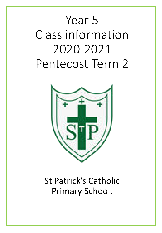# Year 5 Class information 2020-2021 Pentecost Term 2



St Patrick's Catholic Primary School.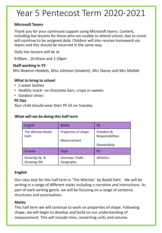# Year 5 Pentecost Term 2020-2021

### **Microsoft Teams**

Thank you for your continued support using Microsoft teams. Content, including live lessons for those who are unable to attend school, due to covid, will continue to be assigned daily. Children will also receive homework via teams and this should be returned in the same way.

Daily live lessons will be at

9:00am , 10:45am and 1:20pm

### **Staff working in Y5**

Mrs Newton-Hewlett, Miss Johnson (student), Mrs Slaney and Mrs Mollatt

### **What to bring to school**

- 2 water bottles
- Healthy snack- no chocolate bars, crisps or sweets
- Outdoor shoes

### **PE Day**

Your child should wear their PE kit on Tuesday

#### **What will we be doing this half term**

| <b>English</b>                     | <b>Maths</b>                       | <b>RE</b>                                    |
|------------------------------------|------------------------------------|----------------------------------------------|
| The Witches Roald<br>Dahl          | Properties of shape<br>Measurement | Freedom &<br>Responsibilities<br>Stewardship |
| Science                            | Topic                              | <b>PE</b>                                    |
| Growing Up &<br><b>Growing Old</b> | Journeys: Trade -<br>Geography     | <b>Athletics</b>                             |

### **English**

Our class text for this half term is 'The Witches' by Roald Dahl. We will be writing in a range of different styles including a narrative and instructions. As part of each writing genre, we will be focusing on a range of sentence structures and punctuation.

### **Maths**

This half term we will continue to work on properties of shape. Following shape, we will begin to develop and build on our understanding of measurement. This will include time, converting units and volume.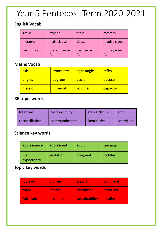# Year 5 Pentecost Term 2020-2021

## **English Vocab**

| simile          | hyphen                  | tense                | commas                 |
|-----------------|-------------------------|----------------------|------------------------|
| metaphor        | main clause             | clause               | relative clause        |
| personification | present perfect<br>form | past perfect<br>form | future perfect<br>form |

### **Maths Vocab**

| axis   | symmetry        | right angle | reflex   |
|--------|-----------------|-------------|----------|
| angles | degrees         | acute       | obtuse   |
| metric | <i>imperial</i> | volume      | capacity |

# **RE topic words**

| freedom        | responsibility | stewardship       | gift       |
|----------------|----------------|-------------------|------------|
| reconciliation | commandments   | <b>Beatitudes</b> | contrition |

### **Science key words**

| adolescence        | adolescent | adult    | teenager |  |  |
|--------------------|------------|----------|----------|--|--|
| life<br>expectancy | gestation  | pregnant | toddler  |  |  |

### **Topic key words**

| journey           | <b>biomes</b> | export         | continent |
|-------------------|---------------|----------------|-----------|
| trade             | import        | consumer       | producer  |
| <b>Fair trade</b> | economic      | sustainability | retailer  |